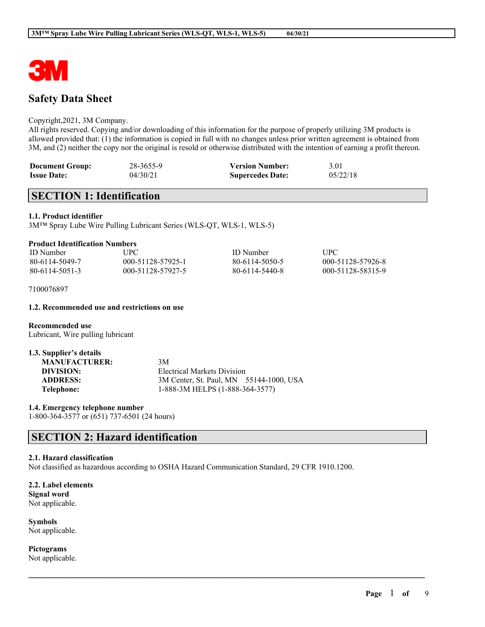

# **Safety Data Sheet**

### Copyright,2021, 3M Company.

All rights reserved. Copying and/or downloading of this information for the purpose of properly utilizing 3M products is allowed provided that: (1) the information is copied in full with no changes unless prior written agreement is obtained from 3M, and (2) neither the copy nor the original is resold or otherwise distributed with the intention of earning a profit thereon.

| <b>Document Group:</b> | 28-3655-9 | <b>Version Number:</b>  | 3.01     |
|------------------------|-----------|-------------------------|----------|
| <b>Issue Date:</b>     | 04/30/21  | <b>Supercedes Date:</b> | 05/22/18 |

# **SECTION 1: Identification**

### **1.1. Product identifier**

3M™ Spray Lube Wire Pulling Lubricant Series (WLS-QT, WLS-1, WLS-5)

| <b>Product Identification Numbers</b> |  |  |  |
|---------------------------------------|--|--|--|
|---------------------------------------|--|--|--|

| <b>ID</b> Number | UPC -             | <b>ID</b> Number | <b>TIPC</b>       |
|------------------|-------------------|------------------|-------------------|
| 80-6114-5049-7   | 000-51128-57925-1 | 80-6114-5050-5   | 000-51128-57926-8 |
| 80-6114-5051-3   | 000-51128-57927-5 | 80-6114-5440-8   | 000-51128-58315-9 |

7100076897

#### **1.2. Recommended use and restrictions on use**

**Recommended use** Lubricant, Wire pulling lubricant

| 1.3. Supplier's details |                                         |
|-------------------------|-----------------------------------------|
| <b>MANUFACTURER:</b>    | 3M                                      |
| DIVISION:               | Electrical Markets Division             |
| <b>ADDRESS:</b>         | 3M Center, St. Paul, MN 55144-1000, USA |
| Telephone:              | 1-888-3M HELPS (1-888-364-3577)         |

**1.4. Emergency telephone number** 1-800-364-3577 or (651) 737-6501 (24 hours)

# **SECTION 2: Hazard identification**

#### **2.1. Hazard classification**

Not classified as hazardous according to OSHA Hazard Communication Standard, 29 CFR 1910.1200.

 $\mathcal{L}_\mathcal{L} = \mathcal{L}_\mathcal{L} = \mathcal{L}_\mathcal{L} = \mathcal{L}_\mathcal{L} = \mathcal{L}_\mathcal{L} = \mathcal{L}_\mathcal{L} = \mathcal{L}_\mathcal{L} = \mathcal{L}_\mathcal{L} = \mathcal{L}_\mathcal{L} = \mathcal{L}_\mathcal{L} = \mathcal{L}_\mathcal{L} = \mathcal{L}_\mathcal{L} = \mathcal{L}_\mathcal{L} = \mathcal{L}_\mathcal{L} = \mathcal{L}_\mathcal{L} = \mathcal{L}_\mathcal{L} = \mathcal{L}_\mathcal{L}$ 

**2.2. Label elements Signal word** Not applicable.

**Symbols** Not applicable.

**Pictograms** Not applicable.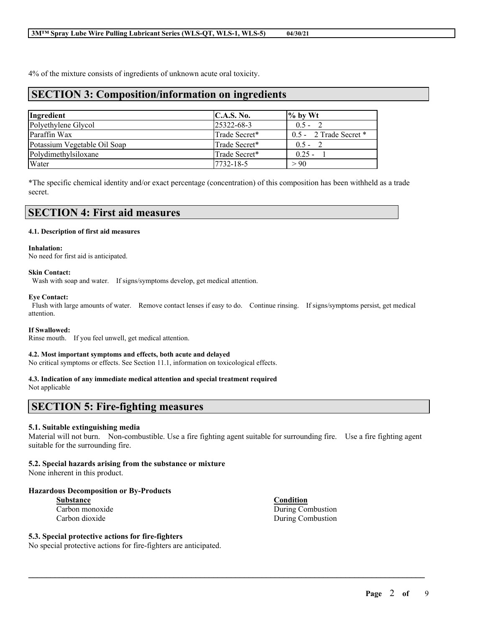4% of the mixture consists of ingredients of unknown acute oral toxicity.

## **SECTION 3: Composition/information on ingredients**

| Ingredient                   | C.A.S. No.        | $\%$ by Wt               |
|------------------------------|-------------------|--------------------------|
| Polyethylene Glycol          | $25322 - 68 - 3$  | $0.5 -$                  |
| Paraffin Wax                 | Trade Secret*     | $0.5 - 2$ Trade Secret * |
| Potassium Vegetable Oil Soap | Trade Secret*     | $0.5 -$                  |
| Polydimethylsiloxane         | Trade Secret*     | $0.25 -$                 |
| Water                        | $ 7732 - 18 - 5 $ | > 90                     |

\*The specific chemical identity and/or exact percentage (concentration) of this composition has been withheld as a trade secret.

| <b>SECTION 4: First aid measures</b> |  |
|--------------------------------------|--|
|--------------------------------------|--|

#### **4.1. Description of first aid measures**

#### **Inhalation:**

No need for first aid is anticipated.

#### **Skin Contact:**

Wash with soap and water. If signs/symptoms develop, get medical attention.

#### **Eye Contact:**

Flush with large amounts of water. Remove contact lenses if easy to do. Continue rinsing. If signs/symptoms persist, get medical attention.

#### **If Swallowed:**

Rinse mouth. If you feel unwell, get medical attention.

#### **4.2. Most important symptoms and effects, both acute and delayed**

No critical symptoms or effects. See Section 11.1, information on toxicological effects.

#### **4.3. Indication of any immediate medical attention and special treatment required**

Not applicable

## **SECTION 5: Fire-fighting measures**

#### **5.1. Suitable extinguishing media**

Material will not burn. Non-combustible. Use a fire fighting agent suitable for surrounding fire. Use a fire fighting agent suitable for the surrounding fire.

 $\mathcal{L}_\mathcal{L} = \mathcal{L}_\mathcal{L} = \mathcal{L}_\mathcal{L} = \mathcal{L}_\mathcal{L} = \mathcal{L}_\mathcal{L} = \mathcal{L}_\mathcal{L} = \mathcal{L}_\mathcal{L} = \mathcal{L}_\mathcal{L} = \mathcal{L}_\mathcal{L} = \mathcal{L}_\mathcal{L} = \mathcal{L}_\mathcal{L} = \mathcal{L}_\mathcal{L} = \mathcal{L}_\mathcal{L} = \mathcal{L}_\mathcal{L} = \mathcal{L}_\mathcal{L} = \mathcal{L}_\mathcal{L} = \mathcal{L}_\mathcal{L}$ 

#### **5.2. Special hazards arising from the substance or mixture**

None inherent in this product.

#### **Hazardous Decomposition or By-Products**

| Substance |                 |
|-----------|-----------------|
|           | Carbon monoxide |
|           | Carbon dioxide  |

## **5.3. Special protective actions for fire-fighters**

No special protective actions for fire-fighters are anticipated.

**Condition** During Combustion During Combustion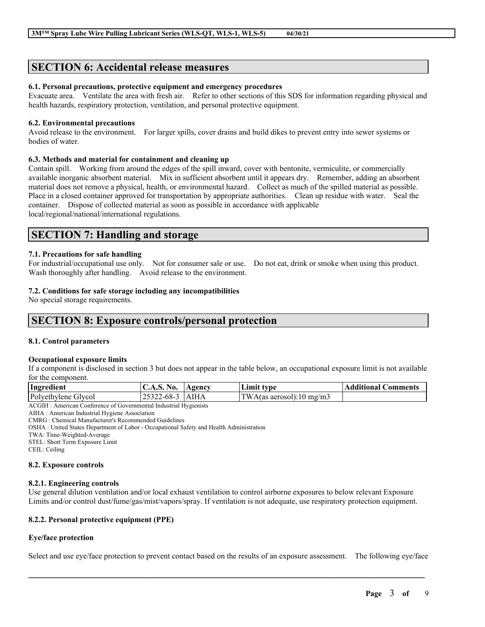# **SECTION 6: Accidental release measures**

## **6.1. Personal precautions, protective equipment and emergency procedures**

Evacuate area. Ventilate the area with fresh air. Refer to other sections of this SDS for information regarding physical and health hazards, respiratory protection, ventilation, and personal protective equipment.

### **6.2. Environmental precautions**

Avoid release to the environment. For larger spills, cover drains and build dikes to prevent entry into sewer systems or bodies of water.

### **6.3. Methods and material for containment and cleaning up**

Contain spill. Working from around the edges of the spill inward, cover with bentonite, vermiculite, or commercially available inorganic absorbent material. Mix in sufficient absorbent until it appears dry. Remember, adding an absorbent material does not remove a physical, health, or environmental hazard. Collect as much of the spilled material as possible. Place in a closed container approved for transportation by appropriate authorities. Clean up residue with water. Seal the container. Dispose of collected material as soon as possible in accordance with applicable local/regional/national/international regulations.

## **SECTION 7: Handling and storage**

### **7.1. Precautions for safe handling**

For industrial/occupational use only. Not for consumer sale or use. Do not eat, drink or smoke when using this product. Wash thoroughly after handling. Avoid release to the environment.

### **7.2. Conditions for safe storage including any incompatibilities**

No special storage requirements.

## **SECTION 8: Exposure controls/personal protection**

#### **8.1. Control parameters**

#### **Occupational exposure limits**

If a component is disclosed in section 3 but does not appear in the table below, an occupational exposure limit is not available for the component.

| Ingredient          | No.<br>$\mathbf{C.A.5.}$ | Agency | Limit type               | <b>Additional Comments</b> |
|---------------------|--------------------------|--------|--------------------------|----------------------------|
| Polyethylene Glycol | 25322-68-3 AIHA          |        | TWA(as aerosol):10 mg/m3 |                            |
|                     |                          |        |                          |                            |

ACGIH : American Conference of Governmental Industrial Hygienists

AIHA : American Industrial Hygiene Association

CMRG : Chemical Manufacturer's Recommended Guidelines

OSHA : United States Department of Labor - Occupational Safety and Health Administration

TWA: Time-Weighted-Average

STEL: Short Term Exposure Limit

CEIL: Ceiling

### **8.2. Exposure controls**

#### **8.2.1. Engineering controls**

Use general dilution ventilation and/or local exhaust ventilation to control airborne exposures to below relevant Exposure Limits and/or control dust/fume/gas/mist/vapors/spray. If ventilation is not adequate, use respiratory protection equipment.

## **8.2.2. Personal protective equipment (PPE)**

## **Eye/face protection**

Select and use eye/face protection to prevent contact based on the results of an exposure assessment. The following eye/face

 $\mathcal{L}_\mathcal{L} = \mathcal{L}_\mathcal{L} = \mathcal{L}_\mathcal{L} = \mathcal{L}_\mathcal{L} = \mathcal{L}_\mathcal{L} = \mathcal{L}_\mathcal{L} = \mathcal{L}_\mathcal{L} = \mathcal{L}_\mathcal{L} = \mathcal{L}_\mathcal{L} = \mathcal{L}_\mathcal{L} = \mathcal{L}_\mathcal{L} = \mathcal{L}_\mathcal{L} = \mathcal{L}_\mathcal{L} = \mathcal{L}_\mathcal{L} = \mathcal{L}_\mathcal{L} = \mathcal{L}_\mathcal{L} = \mathcal{L}_\mathcal{L}$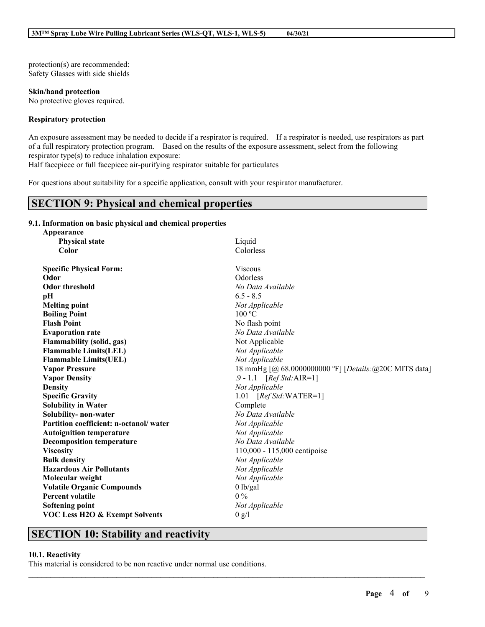protection(s) are recommended: Safety Glasses with side shields

**Skin/hand protection** No protective gloves required.

### **Respiratory protection**

An exposure assessment may be needed to decide if a respirator is required. If a respirator is needed, use respirators as part of a full respiratory protection program. Based on the results of the exposure assessment, select from the following respirator type(s) to reduce inhalation exposure:

Half facepiece or full facepiece air-purifying respirator suitable for particulates

For questions about suitability for a specific application, consult with your respirator manufacturer.

## **SECTION 9: Physical and chemical properties**

## **9.1. Information on basic physical and chemical properties**

| Appearance                                |                                                         |
|-------------------------------------------|---------------------------------------------------------|
| <b>Physical state</b>                     | Liquid                                                  |
| Color                                     | Colorless                                               |
| <b>Specific Physical Form:</b>            | Viscous                                                 |
| Odor                                      | Odorless                                                |
| <b>Odor threshold</b>                     | No Data Available                                       |
| pH                                        | $6.5 - 8.5$                                             |
| <b>Melting point</b>                      | Not Applicable                                          |
| <b>Boiling Point</b>                      | 100 °C                                                  |
| <b>Flash Point</b>                        | No flash point                                          |
| <b>Evaporation rate</b>                   | No Data Available                                       |
| <b>Flammability (solid, gas)</b>          | Not Applicable                                          |
| <b>Flammable Limits(LEL)</b>              | Not Applicable                                          |
| <b>Flammable Limits(UEL)</b>              | Not Applicable                                          |
| <b>Vapor Pressure</b>                     | 18 mmHg [@ 68.0000000000 °F] [Details: @ 20C MITS data] |
| <b>Vapor Density</b>                      | .9 - 1.1 [Ref Std: AIR=1]                               |
| <b>Density</b>                            | Not Applicable                                          |
| <b>Specific Gravity</b>                   | 1.01 $[RefStd:WATER=1]$                                 |
| <b>Solubility in Water</b>                | Complete                                                |
| Solubility- non-water                     | No Data Available                                       |
| Partition coefficient: n-octanol/water    | Not Applicable                                          |
| <b>Autoignition temperature</b>           | Not Applicable                                          |
| <b>Decomposition temperature</b>          | No Data Available                                       |
| <b>Viscosity</b>                          | 110,000 - 115,000 centipoise                            |
| <b>Bulk density</b>                       | Not Applicable                                          |
| <b>Hazardous Air Pollutants</b>           | Not Applicable                                          |
| Molecular weight                          | Not Applicable                                          |
| <b>Volatile Organic Compounds</b>         | $0$ lb/gal                                              |
| <b>Percent volatile</b>                   | $0\%$                                                   |
| <b>Softening point</b>                    | Not Applicable                                          |
| <b>VOC Less H2O &amp; Exempt Solvents</b> | 0 g/l                                                   |
|                                           |                                                         |

 $\mathcal{L}_\mathcal{L} = \mathcal{L}_\mathcal{L} = \mathcal{L}_\mathcal{L} = \mathcal{L}_\mathcal{L} = \mathcal{L}_\mathcal{L} = \mathcal{L}_\mathcal{L} = \mathcal{L}_\mathcal{L} = \mathcal{L}_\mathcal{L} = \mathcal{L}_\mathcal{L} = \mathcal{L}_\mathcal{L} = \mathcal{L}_\mathcal{L} = \mathcal{L}_\mathcal{L} = \mathcal{L}_\mathcal{L} = \mathcal{L}_\mathcal{L} = \mathcal{L}_\mathcal{L} = \mathcal{L}_\mathcal{L} = \mathcal{L}_\mathcal{L}$ 

# **SECTION 10: Stability and reactivity**

#### **10.1. Reactivity**

This material is considered to be non reactive under normal use conditions.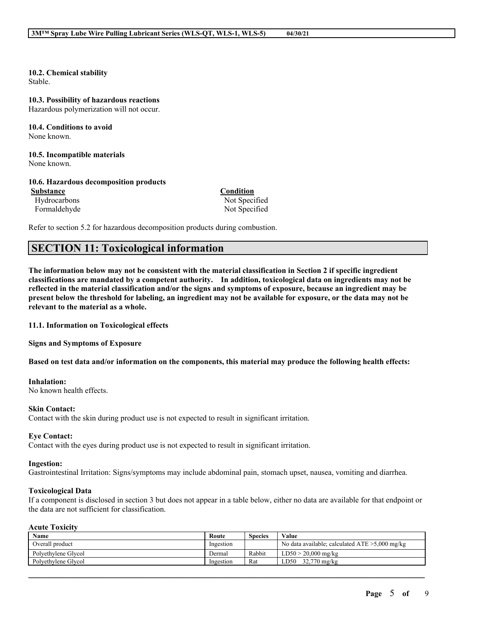## **10.2. Chemical stability**

Stable.

#### **10.3. Possibility of hazardous reactions**

Hazardous polymerization will not occur.

#### **10.4. Conditions to avoid** None known.

#### **10.5. Incompatible materials** None known.

### **10.6. Hazardous decomposition products**

**Substance Condition** Hydrocarbons Not Specified Formaldehyde Not Specified

Refer to section 5.2 for hazardous decomposition products during combustion.

## **SECTION 11: Toxicological information**

The information below may not be consistent with the material classification in Section 2 if specific ingredient **classifications are mandated by a competent authority. In addition, toxicological data on ingredients may not be** reflected in the material classification and/or the signs and symptoms of exposure, because an ingredient may be present below the threshold for labeling, an ingredient may not be available for exposure, or the data may not be **relevant to the material as a whole.**

**11.1. Information on Toxicological effects**

**Signs and Symptoms of Exposure**

Based on test data and/or information on the components, this material may produce the following health effects:

#### **Inhalation:**

No known health effects.

#### **Skin Contact:**

Contact with the skin during product use is not expected to result in significant irritation.

#### **Eye Contact:**

Contact with the eyes during product use is not expected to result in significant irritation.

#### **Ingestion:**

Gastrointestinal Irritation: Signs/symptoms may include abdominal pain, stomach upset, nausea, vomiting and diarrhea.

#### **Toxicological Data**

If a component is disclosed in section 3 but does not appear in a table below, either no data are available for that endpoint or the data are not sufficient for classification.

## **Acute Toxicity**

| Name                | Route     | <b>Species</b> | Value                                             |
|---------------------|-----------|----------------|---------------------------------------------------|
| Overall product     | Ingestion |                | No data available; calculated $ATE > 5,000$ mg/kg |
| Polvethylene Glycol | Dermal    | Rabbit         | $\rm{LD50} > 20.000 \; m\text{g/kg}$              |
| Polvethylene Glycol | Ingestion | Rat            | 32.770 mg/kg<br>LD50                              |

 $\mathcal{L}_\mathcal{L} = \mathcal{L}_\mathcal{L} = \mathcal{L}_\mathcal{L} = \mathcal{L}_\mathcal{L} = \mathcal{L}_\mathcal{L} = \mathcal{L}_\mathcal{L} = \mathcal{L}_\mathcal{L} = \mathcal{L}_\mathcal{L} = \mathcal{L}_\mathcal{L} = \mathcal{L}_\mathcal{L} = \mathcal{L}_\mathcal{L} = \mathcal{L}_\mathcal{L} = \mathcal{L}_\mathcal{L} = \mathcal{L}_\mathcal{L} = \mathcal{L}_\mathcal{L} = \mathcal{L}_\mathcal{L} = \mathcal{L}_\mathcal{L}$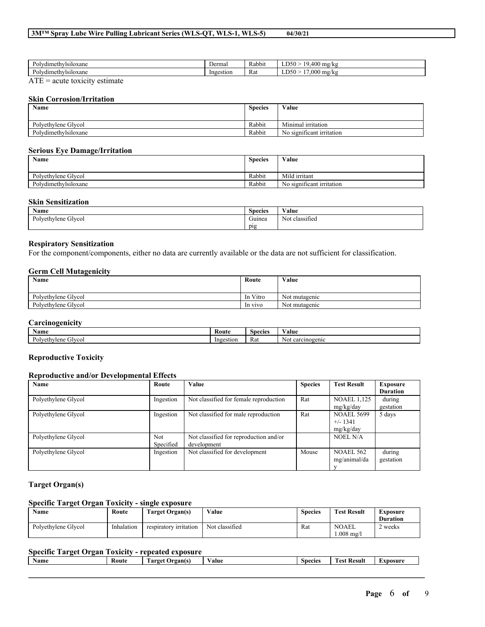| .udimath:<br>visiloxane<br>ŌГ<br>umuu             | Dermal    | $\cdots$<br>Rabbit | 40C<br>$\cdot$ $\sim$<br>.<br>mg/kg<br>,,,<br>--             |
|---------------------------------------------------|-----------|--------------------|--------------------------------------------------------------|
| vdimethvisiloxane<br><b>Dan</b><br>v<br>$\ddotsc$ | Ingestion | Rat                | $-$<br>$\Omega$<br>$\sim$ $\sim$ $\sim$<br>15<br>mg/kg<br>ww |

ATE = acute toxicity estimate

#### **Skin Corrosion/Irritation**

| Name                 | <b>Species</b> | Value                     |
|----------------------|----------------|---------------------------|
| Polvethylene Glycol  | Rabbit         | Minimal irritation        |
| Polydimethylsiloxane | Rabbit         | No significant irritation |

#### **Serious Eye Damage/Irritation**

| <b>Name</b>          | <b>Species</b> | Value                     |
|----------------------|----------------|---------------------------|
|                      |                |                           |
| Polvethylene Glycol  | Rabbit         | Mild irritant             |
| Polydimethylsiloxane | Rabbit         | No significant irritation |

### **Skin Sensitization**

| <b>Name</b>            | $\sim$<br><b>Species</b> | $\mathbf{v}$ $\mathbf{v}$<br>⁄ alue       |
|------------------------|--------------------------|-------------------------------------------|
| Glycol<br>Polyethylene | $\sim$<br>Guinea         | . .<br>$\sim$ $\sim$<br>classified<br>Not |
|                        | pig                      |                                           |

## **Respiratory Sensitization**

For the component/components, either no data are currently available or the data are not sufficient for classification.

#### **Germ Cell Mutagenicity**

| Name                | Route    | Value                         |
|---------------------|----------|-------------------------------|
|                     |          |                               |
| Polyethylene Glycol | In Vitro | $\mathbf{v}$<br>Not mutagenic |
| Polyethylene Glycol | In vivo  | Not mutagenic                 |

## **Carcinogenicity**

| -------------------                                     |                |               |                   |  |  |  |  |
|---------------------------------------------------------|----------------|---------------|-------------------|--|--|--|--|
| <b>100</b><br>Name                                      | : Rout         | Snecies       | ⁄ alue            |  |  |  |  |
| $\mathbf{r}$<br>$P_{\Omega}$<br><i>i</i> lvcol<br>vlene | inge<br>estior | ∽<br>Rat<br>. | einogenic<br>ה רי |  |  |  |  |

### **Reproductive Toxicity**

#### **Reproductive and/or Developmental Effects**

| Name                | Route                   | Value                                                 | <b>Species</b> | <b>Test Result</b>                           | Exposure<br><b>Duration</b> |
|---------------------|-------------------------|-------------------------------------------------------|----------------|----------------------------------------------|-----------------------------|
| Polyethylene Glycol | Ingestion               | Not classified for female reproduction                | Rat            | <b>NOAEL 1,125</b><br>mg/kg/day              | during<br>gestation         |
| Polyethylene Glycol | Ingestion               | Not classified for male reproduction                  | Rat            | <b>NOAEL 5699</b><br>$+/- 1341$<br>mg/kg/day | 5 days                      |
| Polyethylene Glycol | <b>Not</b><br>Specified | Not classified for reproduction and/or<br>development |                | <b>NOEL N/A</b>                              |                             |
| Polyethylene Glycol | Ingestion               | Not classified for development                        | Mouse          | <b>NOAEL 562</b><br>mg/animal/da             | during<br>gestation         |

### **Target Organ(s)**

#### **Specific Target Organ Toxicity - single exposure**

| Name                | Route      | Target Organ(s)        | Value          | <b>Species</b> | <b>Test Result</b>           | Exposure<br><b>Duration</b> |
|---------------------|------------|------------------------|----------------|----------------|------------------------------|-----------------------------|
| Polyethylene Glycol | Inhalation | respiratory irritation | Not classified | Rat            | <b>NOAEL</b><br>$1.008$ mg/l | weeks                       |

## **Specific Target Organ Toxicity - repeated exposure**

| $\sim$<br><b>B</b> T<br>Name | Route | <b>STATE</b><br>Organ(s)<br>rarget<br>ີ | $ -$<br>Value | $\sim$<br><b>Species</b> | <b>CONTRACTOR</b><br>Result<br>`est | Exposure |
|------------------------------|-------|-----------------------------------------|---------------|--------------------------|-------------------------------------|----------|
|                              |       |                                         |               |                          |                                     |          |
|                              |       |                                         |               |                          |                                     |          |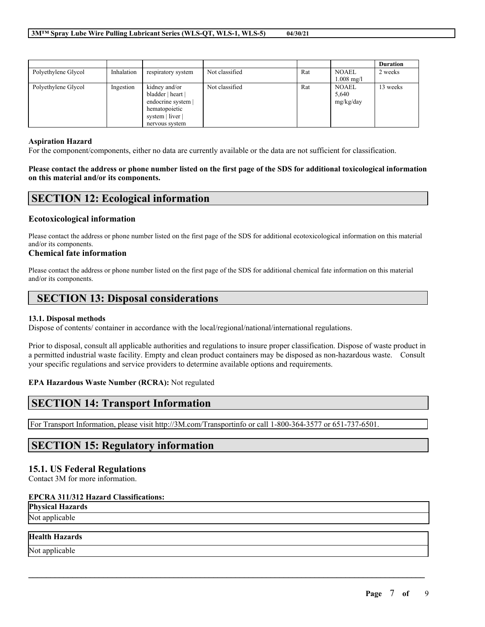|                     |            |                                                                                                                 |                |     |                                      | <b>Duration</b> |
|---------------------|------------|-----------------------------------------------------------------------------------------------------------------|----------------|-----|--------------------------------------|-----------------|
| Polyethylene Glycol | Inhalation | respiratory system                                                                                              | Not classified | Rat | <b>NOAEL</b><br>$1.008 \text{ mg/l}$ | 2 weeks         |
| Polyethylene Glycol | Ingestion  | kidney and/or<br>bladder   heart  <br>endocrine system  <br>hematopoietic<br>system   liver  <br>nervous system | Not classified | Rat | <b>NOAEL</b><br>5,640<br>mg/kg/day   | 13 weeks        |

### **Aspiration Hazard**

For the component/components, either no data are currently available or the data are not sufficient for classification.

### Please contact the address or phone number listed on the first page of the SDS for additional toxicological information **on this material and/or its components.**

## **SECTION 12: Ecological information**

## **Ecotoxicological information**

Please contact the address or phone number listed on the first page of the SDS for additional ecotoxicological information on this material and/or its components.

### **Chemical fate information**

Please contact the address or phone number listed on the first page of the SDS for additional chemical fate information on this material and/or its components.

## **SECTION 13: Disposal considerations**

#### **13.1. Disposal methods**

Dispose of contents/ container in accordance with the local/regional/national/international regulations.

Prior to disposal, consult all applicable authorities and regulations to insure proper classification. Dispose of waste product in a permitted industrial waste facility. Empty and clean product containers may be disposed as non-hazardous waste. Consult your specific regulations and service providers to determine available options and requirements.

 $\mathcal{L}_\mathcal{L} = \mathcal{L}_\mathcal{L} = \mathcal{L}_\mathcal{L} = \mathcal{L}_\mathcal{L} = \mathcal{L}_\mathcal{L} = \mathcal{L}_\mathcal{L} = \mathcal{L}_\mathcal{L} = \mathcal{L}_\mathcal{L} = \mathcal{L}_\mathcal{L} = \mathcal{L}_\mathcal{L} = \mathcal{L}_\mathcal{L} = \mathcal{L}_\mathcal{L} = \mathcal{L}_\mathcal{L} = \mathcal{L}_\mathcal{L} = \mathcal{L}_\mathcal{L} = \mathcal{L}_\mathcal{L} = \mathcal{L}_\mathcal{L}$ 

## **EPA Hazardous Waste Number (RCRA):** Not regulated

## **SECTION 14: Transport Information**

For Transport Information, please visit http://3M.com/Transportinfo or call 1-800-364-3577 or 651-737-6501.

## **SECTION 15: Regulatory information**

## **15.1. US Federal Regulations**

Contact 3M for more information.

## **EPCRA 311/312 Hazard Classifications:**

**Physical Hazards** Not applicable

## **Health Hazards**

Not applicable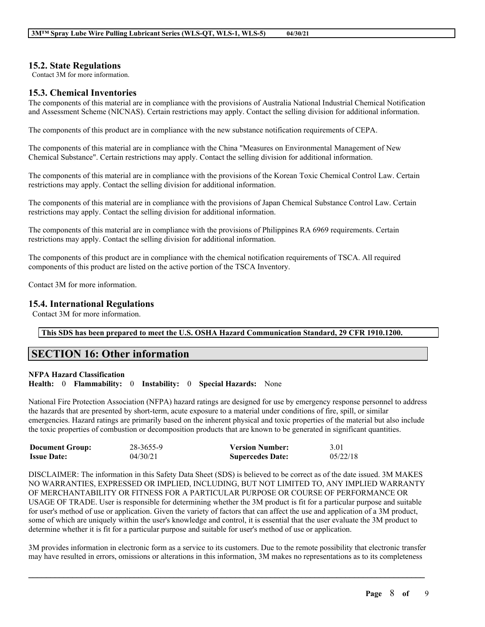## **15.2. State Regulations**

Contact 3M for more information.

## **15.3. Chemical Inventories**

The components of this material are in compliance with the provisions of Australia National Industrial Chemical Notification and Assessment Scheme (NICNAS). Certain restrictions may apply. Contact the selling division for additional information.

The components of this product are in compliance with the new substance notification requirements of CEPA.

The components of this material are in compliance with the China "Measures on Environmental Management of New Chemical Substance". Certain restrictions may apply. Contact the selling division for additional information.

The components of this material are in compliance with the provisions of the Korean Toxic Chemical Control Law. Certain restrictions may apply. Contact the selling division for additional information.

The components of this material are in compliance with the provisions of Japan Chemical Substance Control Law. Certain restrictions may apply. Contact the selling division for additional information.

The components of this material are in compliance with the provisions of Philippines RA 6969 requirements. Certain restrictions may apply. Contact the selling division for additional information.

The components of this product are in compliance with the chemical notification requirements of TSCA. All required components of this product are listed on the active portion of the TSCA Inventory.

Contact 3M for more information.

## **15.4. International Regulations**

Contact 3M for more information.

## **This SDS has been prepared to meet the U.S. OSHA Hazard Communication Standard, 29 CFR 1910.1200.**

## **SECTION 16: Other information**

### **NFPA Hazard Classification**

**Health:** 0 **Flammability:** 0 **Instability:** 0 **Special Hazards:** None

National Fire Protection Association (NFPA) hazard ratings are designed for use by emergency response personnel to address the hazards that are presented by short-term, acute exposure to a material under conditions of fire, spill, or similar emergencies. Hazard ratings are primarily based on the inherent physical and toxic properties of the material but also include the toxic properties of combustion or decomposition products that are known to be generated in significant quantities.

| <b>Document Group:</b> | 28-3655-9 | <b>Version Number:</b>  | 3.01     |
|------------------------|-----------|-------------------------|----------|
| <b>Issue Date:</b>     | 04/30/21  | <b>Supercedes Date:</b> | 05/22/18 |

DISCLAIMER: The information in this Safety Data Sheet (SDS) is believed to be correct as of the date issued. 3M MAKES NO WARRANTIES, EXPRESSED OR IMPLIED, INCLUDING, BUT NOT LIMITED TO, ANY IMPLIED WARRANTY OF MERCHANTABILITY OR FITNESS FOR A PARTICULAR PURPOSE OR COURSE OF PERFORMANCE OR USAGE OF TRADE. User is responsible for determining whether the 3M product is fit for a particular purpose and suitable for user's method of use or application. Given the variety of factors that can affect the use and application of a 3M product, some of which are uniquely within the user's knowledge and control, it is essential that the user evaluate the 3M product to determine whether it is fit for a particular purpose and suitable for user's method of use or application.

3M provides information in electronic form as a service to its customers. Due to the remote possibility that electronic transfer may have resulted in errors, omissions or alterations in this information, 3M makes no representations as to its completeness

 $\mathcal{L}_\mathcal{L} = \mathcal{L}_\mathcal{L} = \mathcal{L}_\mathcal{L} = \mathcal{L}_\mathcal{L} = \mathcal{L}_\mathcal{L} = \mathcal{L}_\mathcal{L} = \mathcal{L}_\mathcal{L} = \mathcal{L}_\mathcal{L} = \mathcal{L}_\mathcal{L} = \mathcal{L}_\mathcal{L} = \mathcal{L}_\mathcal{L} = \mathcal{L}_\mathcal{L} = \mathcal{L}_\mathcal{L} = \mathcal{L}_\mathcal{L} = \mathcal{L}_\mathcal{L} = \mathcal{L}_\mathcal{L} = \mathcal{L}_\mathcal{L}$